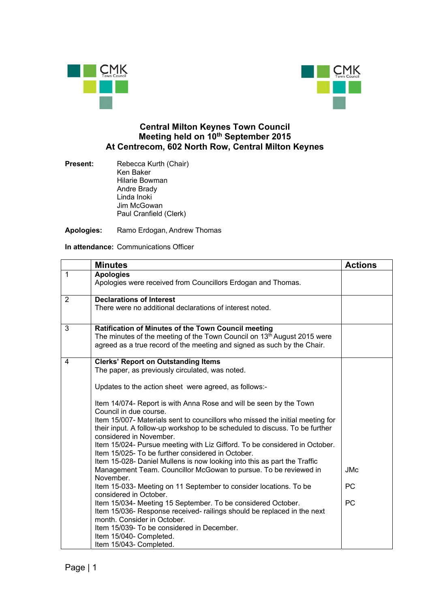



## **Central Milton Keynes Town Council Meeting held on 10th September 2015 At Centrecom, 602 North Row, Central Milton Keynes**

**Present:** Rebecca Kurth (Chair) Ken Baker Hilarie Bowman Andre Brady Linda Inoki Jim McGowan Paul Cranfield (Clerk)

**Apologies:** Ramo Erdogan, Andrew Thomas

**In attendance:** Communications Officer

|                | <b>Minutes</b>                                                                                                                                                                                                                                                                                                                                                                                                                                                                                                                                                                                                                                                                                                                                                                                                                                                                                                                                                                                                                                                                                                                 | <b>Actions</b>          |
|----------------|--------------------------------------------------------------------------------------------------------------------------------------------------------------------------------------------------------------------------------------------------------------------------------------------------------------------------------------------------------------------------------------------------------------------------------------------------------------------------------------------------------------------------------------------------------------------------------------------------------------------------------------------------------------------------------------------------------------------------------------------------------------------------------------------------------------------------------------------------------------------------------------------------------------------------------------------------------------------------------------------------------------------------------------------------------------------------------------------------------------------------------|-------------------------|
| $\overline{1}$ | <b>Apologies</b><br>Apologies were received from Councillors Erdogan and Thomas.                                                                                                                                                                                                                                                                                                                                                                                                                                                                                                                                                                                                                                                                                                                                                                                                                                                                                                                                                                                                                                               |                         |
| $\overline{2}$ | <b>Declarations of Interest</b><br>There were no additional declarations of interest noted.                                                                                                                                                                                                                                                                                                                                                                                                                                                                                                                                                                                                                                                                                                                                                                                                                                                                                                                                                                                                                                    |                         |
| 3              | Ratification of Minutes of the Town Council meeting<br>The minutes of the meeting of the Town Council on 13 <sup>th</sup> August 2015 were<br>agreed as a true record of the meeting and signed as such by the Chair.                                                                                                                                                                                                                                                                                                                                                                                                                                                                                                                                                                                                                                                                                                                                                                                                                                                                                                          |                         |
| 4              | <b>Clerks' Report on Outstanding Items</b><br>The paper, as previously circulated, was noted.<br>Updates to the action sheet were agreed, as follows:-<br>Item 14/074- Report is with Anna Rose and will be seen by the Town<br>Council in due course.<br>Item 15/007- Materials sent to councillors who missed the initial meeting for<br>their input. A follow-up workshop to be scheduled to discuss. To be further<br>considered in November.<br>Item 15/024- Pursue meeting with Liz Gifford. To be considered in October.<br>Item 15/025- To be further considered in October.<br>Item 15-028- Daniel Mullens is now looking into this as part the Traffic<br>Management Team. Councillor McGowan to pursue. To be reviewed in<br>November.<br>Item 15-033- Meeting on 11 September to consider locations. To be<br>considered in October.<br>Item 15/034- Meeting 15 September. To be considered October.<br>Item 15/036- Response received- railings should be replaced in the next<br>month. Consider in October.<br>Item 15/039- To be considered in December.<br>Item 15/040- Completed.<br>Item 15/043- Completed. | JMc.<br><b>PC</b><br>PC |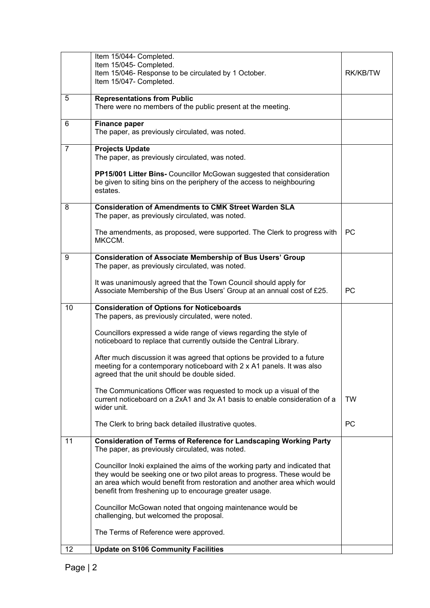|                | Item 15/044- Completed.                                                                                                                                                                                                                                                                        |           |
|----------------|------------------------------------------------------------------------------------------------------------------------------------------------------------------------------------------------------------------------------------------------------------------------------------------------|-----------|
|                | Item 15/045- Completed.                                                                                                                                                                                                                                                                        |           |
|                | Item 15/046- Response to be circulated by 1 October.                                                                                                                                                                                                                                           | RK/KB/TW  |
|                | Item 15/047- Completed.                                                                                                                                                                                                                                                                        |           |
| 5              | <b>Representations from Public</b><br>There were no members of the public present at the meeting.                                                                                                                                                                                              |           |
| 6              | <b>Finance paper</b><br>The paper, as previously circulated, was noted.                                                                                                                                                                                                                        |           |
| $\overline{7}$ | <b>Projects Update</b><br>The paper, as previously circulated, was noted.                                                                                                                                                                                                                      |           |
|                | PP15/001 Litter Bins- Councillor McGowan suggested that consideration<br>be given to siting bins on the periphery of the access to neighbouring<br>estates.                                                                                                                                    |           |
| 8              | <b>Consideration of Amendments to CMK Street Warden SLA</b><br>The paper, as previously circulated, was noted.                                                                                                                                                                                 |           |
|                | The amendments, as proposed, were supported. The Clerk to progress with<br>MKCCM.                                                                                                                                                                                                              | <b>PC</b> |
| 9              | <b>Consideration of Associate Membership of Bus Users' Group</b><br>The paper, as previously circulated, was noted.                                                                                                                                                                            |           |
|                | It was unanimously agreed that the Town Council should apply for<br>Associate Membership of the Bus Users' Group at an annual cost of £25.                                                                                                                                                     | <b>PC</b> |
| 10             | <b>Consideration of Options for Noticeboards</b><br>The papers, as previously circulated, were noted.                                                                                                                                                                                          |           |
|                | Councillors expressed a wide range of views regarding the style of<br>noticeboard to replace that currently outside the Central Library.                                                                                                                                                       |           |
|                | After much discussion it was agreed that options be provided to a future<br>meeting for a contemporary noticeboard with 2 x A1 panels. It was also<br>agreed that the unit should be double sided.                                                                                             |           |
|                | The Communications Officer was requested to mock up a visual of the<br>current noticeboard on a 2xA1 and 3x A1 basis to enable consideration of a<br>wider unit.                                                                                                                               | <b>TW</b> |
|                | The Clerk to bring back detailed illustrative quotes.                                                                                                                                                                                                                                          | <b>PC</b> |
| 11             | <b>Consideration of Terms of Reference for Landscaping Working Party</b><br>The paper, as previously circulated, was noted.                                                                                                                                                                    |           |
|                | Councillor Inoki explained the aims of the working party and indicated that<br>they would be seeking one or two pilot areas to progress. These would be<br>an area which would benefit from restoration and another area which would<br>benefit from freshening up to encourage greater usage. |           |
|                | Councillor McGowan noted that ongoing maintenance would be<br>challenging, but welcomed the proposal.                                                                                                                                                                                          |           |
|                | The Terms of Reference were approved.                                                                                                                                                                                                                                                          |           |
| 12             | <b>Update on S106 Community Facilities</b>                                                                                                                                                                                                                                                     |           |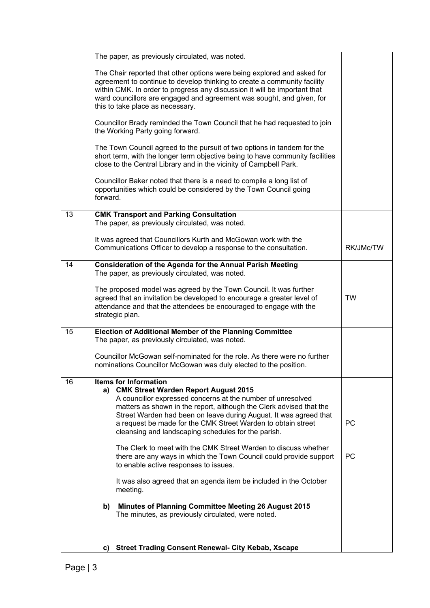|    | The paper, as previously circulated, was noted.                                                                                                                                                                                                                                                                                                                                                           |           |
|----|-----------------------------------------------------------------------------------------------------------------------------------------------------------------------------------------------------------------------------------------------------------------------------------------------------------------------------------------------------------------------------------------------------------|-----------|
|    | The Chair reported that other options were being explored and asked for<br>agreement to continue to develop thinking to create a community facility<br>within CMK. In order to progress any discussion it will be important that<br>ward councillors are engaged and agreement was sought, and given, for<br>this to take place as necessary.                                                             |           |
|    | Councillor Brady reminded the Town Council that he had requested to join<br>the Working Party going forward.                                                                                                                                                                                                                                                                                              |           |
|    | The Town Council agreed to the pursuit of two options in tandem for the<br>short term, with the longer term objective being to have community facilities<br>close to the Central Library and in the vicinity of Campbell Park.                                                                                                                                                                            |           |
|    | Councillor Baker noted that there is a need to compile a long list of<br>opportunities which could be considered by the Town Council going<br>forward.                                                                                                                                                                                                                                                    |           |
| 13 | <b>CMK Transport and Parking Consultation</b>                                                                                                                                                                                                                                                                                                                                                             |           |
|    | The paper, as previously circulated, was noted.                                                                                                                                                                                                                                                                                                                                                           |           |
|    | It was agreed that Councillors Kurth and McGowan work with the<br>Communications Officer to develop a response to the consultation.                                                                                                                                                                                                                                                                       | RK/JMc/TW |
| 14 | <b>Consideration of the Agenda for the Annual Parish Meeting</b><br>The paper, as previously circulated, was noted.                                                                                                                                                                                                                                                                                       |           |
|    | The proposed model was agreed by the Town Council. It was further<br>agreed that an invitation be developed to encourage a greater level of<br>attendance and that the attendees be encouraged to engage with the<br>strategic plan.                                                                                                                                                                      | <b>TW</b> |
| 15 | <b>Election of Additional Member of the Planning Committee</b><br>The paper, as previously circulated, was noted.                                                                                                                                                                                                                                                                                         |           |
|    | Councillor McGowan self-nominated for the role. As there were no further<br>nominations Councillor McGowan was duly elected to the position.                                                                                                                                                                                                                                                              |           |
| 16 | <b>Items for Information</b><br>a) CMK Street Warden Report August 2015<br>A councillor expressed concerns at the number of unresolved<br>matters as shown in the report, although the Clerk advised that the<br>Street Warden had been on leave during August. It was agreed that<br>a request be made for the CMK Street Warden to obtain street<br>cleansing and landscaping schedules for the parish. | <b>PC</b> |
|    | The Clerk to meet with the CMK Street Warden to discuss whether<br>there are any ways in which the Town Council could provide support<br>to enable active responses to issues.                                                                                                                                                                                                                            | <b>PC</b> |
|    | It was also agreed that an agenda item be included in the October<br>meeting.                                                                                                                                                                                                                                                                                                                             |           |
|    | <b>Minutes of Planning Committee Meeting 26 August 2015</b><br>b)<br>The minutes, as previously circulated, were noted.                                                                                                                                                                                                                                                                                   |           |
|    | <b>Street Trading Consent Renewal- City Kebab, Xscape</b><br>C)                                                                                                                                                                                                                                                                                                                                           |           |